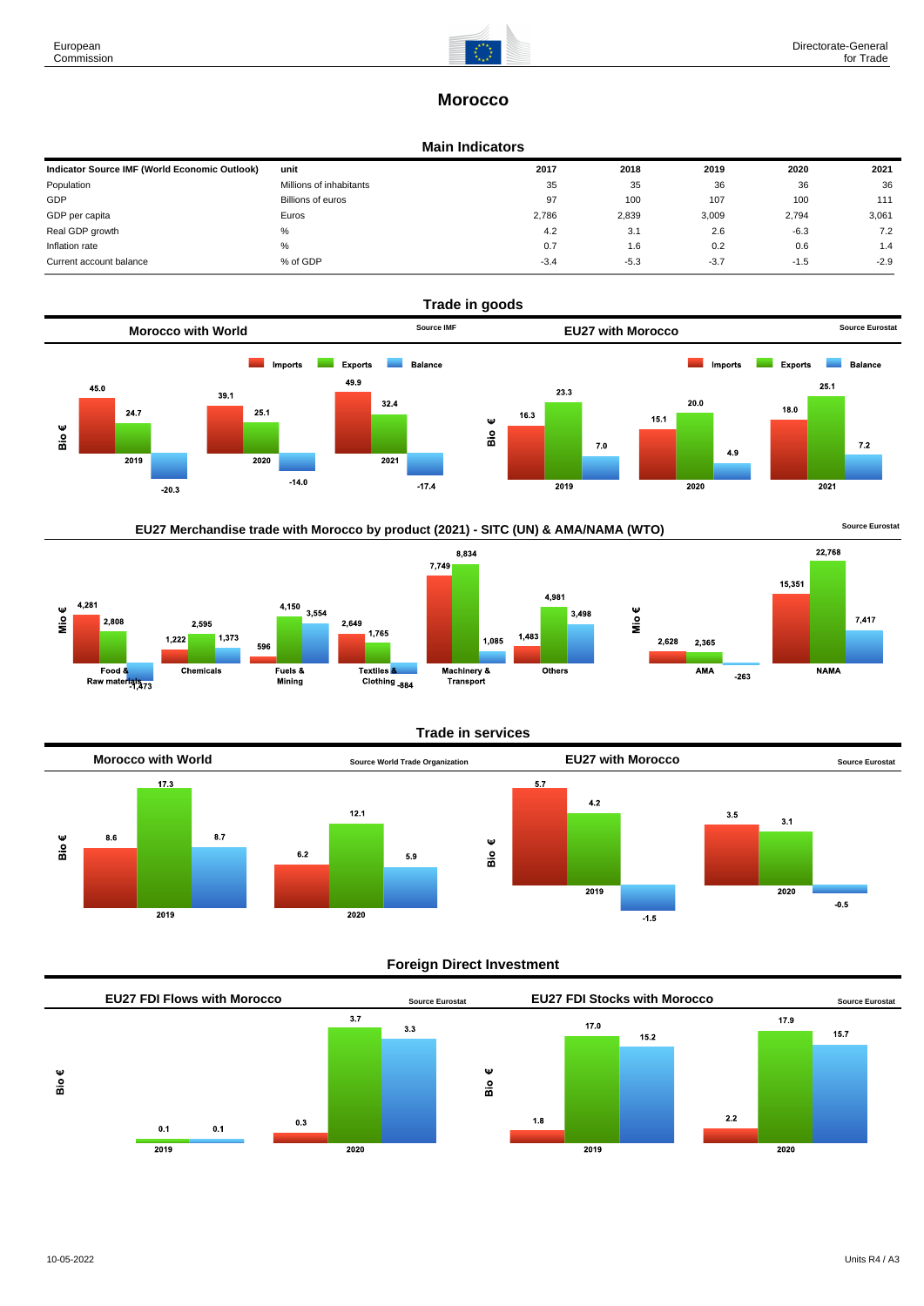2,808



22,768

 $7,417$ 

# **Morocco**

#### **Main Indicators**

| Indicator Source IMF (World Economic Outlook) | unit                    | 2017   | 2018   | 2019   | 2020   | 2021   |
|-----------------------------------------------|-------------------------|--------|--------|--------|--------|--------|
| Population                                    | Millions of inhabitants | 35     | 35     | 36     | 36     | 36     |
| GDP                                           | Billions of euros       | 97     | 100    | 107    | 100    | 111    |
| GDP per capita                                | Euros                   | 2.786  | 2,839  | 3,009  | 2.794  | 3,061  |
| Real GDP growth                               | %                       | 4.2    | 3.1    | 2.6    | $-6.3$ | 7.2    |
| Inflation rate                                | %                       | 0.7    | 1.6    | 0.2    | 0.6    | 1.4    |
| Current account balance                       | % of GDP                | $-3.4$ | $-5.3$ | $-3.7$ | $-1.5$ | $-2.9$ |







## **Trade in services**



## **Foreign Direct Investment**